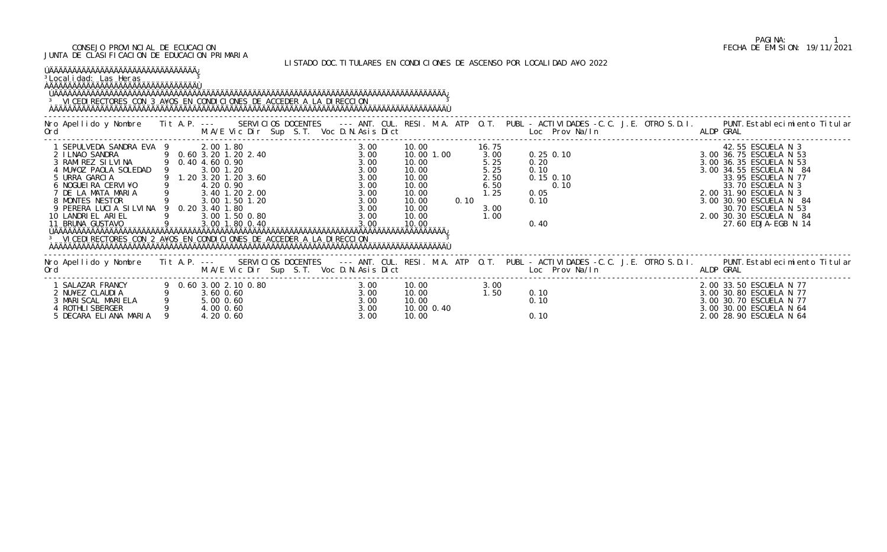ÚÄÄÄÄÄÄÄÄÄÄÄÄÄÄÄÄÄÄÄÄÄÄÄÄÄÄÄÄÄÄÄÄÄÄÄÄÄÄÄÄÄÄÄÄÄÄÄÄÄÄÄÄÄÄÄÄÄÄÄÄÄÄÄÄÄÄÄÄÄÄÄÄÄÄÄÄÄÄÄÄÄÄÄÄÄ¿ <sup>3</sup> VICEDIRECTORES CON 3 A¥OS EN CONDICIONES DE ACCEDER A LA DIRECCION <sup>3</sup>

## LISTADO DOC.TITULARES EN CONDICIONES DE ASCENSO POR LOCALIDAD A¥O 2022

# ÚÄÄÄÄÄÄÄÄÄÄÄÄÄÄÄÄÄÄÄÄÄÄÄÄÄÄÄÄÄÄÄÄ¿

<sup>3</sup>Localidad: Las Heras <u>3</u>

ÀÄÄÄÄÄÄÄÄÄÄÄÄÄÄÄÄÄÄÄÄÄÄÄÄÄÄÄÄÄÄÄÄÙ

ÀÄÄÄÄÄÄÄÄÄÄÄÄÄÄÄÄÄÄÄÄÄÄÄÄÄÄÄÄÄÄÄÄÄÄÄÄÄÄÄÄÄÄÄÄÄÄÄÄÄÄÄÄÄÄÄÄÄÄÄÄÄÄÄÄÄÄÄÄÄÄÄÄÄÄÄÄÄÄÄÄÄÄÄÄÄÙ

| Nro Apellido y Nombre Tit A.P. ---<br>Ord                                                                                                                                                                                                                     |                  | SERVICIOS DOCENTES<br>M.A/E Vic Dir Sup S.T. Voc D.N.Asis Dict                                                                                                                                                                                           |                                                                                      |                                                                                                              |                                                                        | --- ANT. CUL. RESI. M.A. ATP 0.T. PUBL - ACTIVIDADES -C.C. J.E. OTRO S.D.I.<br><b>Example 2018</b> Loc Prov Na/In<br>ALDP GRAL                                                                 | PUNT. Establecimiento Titular                                                                                                                                                                                                                                              |
|---------------------------------------------------------------------------------------------------------------------------------------------------------------------------------------------------------------------------------------------------------------|------------------|----------------------------------------------------------------------------------------------------------------------------------------------------------------------------------------------------------------------------------------------------------|--------------------------------------------------------------------------------------|--------------------------------------------------------------------------------------------------------------|------------------------------------------------------------------------|------------------------------------------------------------------------------------------------------------------------------------------------------------------------------------------------|----------------------------------------------------------------------------------------------------------------------------------------------------------------------------------------------------------------------------------------------------------------------------|
| SEPULVEDA SANDRA EVA 9<br>2 I LNAO SANDRA<br>3 RAMIREZ SILVINA<br>4 MU¥OZ PAOLA SOLEDAD<br>5 URRA GARCIA<br>6 NOGUELRA CERVI¥O<br>7 DE LA MATA MARIA<br>8 MONTES NESTOR<br>9 PERERA LUCIA SILVINA 9 0.20 3.40 1.80<br>10 LANDRI EL ARI EL<br>11 BRUNA GUSTAVO | 9 0.40 4.60 0.90 | 2.00 1.80<br>9 0.60 3.20 1.20 2.40<br>3.00 1.20<br>9 1.20 3.20 1.20 3.60<br>4.20 0.90<br>9<br>3.40 1.20 2.00<br>9 3.00 1.50 1.20<br>3.00 1.50 0.80<br>3.00 1.80 0.40<br><sup>3</sup> VICEDI RECTORES CON 2 A¥OS EN CONDICIONES DE ACCEDER A LA DIRECCION | 3.00<br>3.00<br>3.00<br>3.00<br>3.00<br>3.00<br>3.00<br>3.00<br>3.00<br>3.00<br>3.00 | 10.00<br>10.00 1.00<br>10.00<br>10.00<br>10.00<br>10.00<br>10.00<br>10.00<br>0.10<br>10.00<br>10.00<br>10.00 | 16. 75<br>3.00<br>5.25<br>5.25<br>2.50<br>6.50<br>1.25<br>3.00<br>1.00 | $0.25$ $0.10$<br>0.20<br>0.10<br>$0.15$ 0.10<br>0.10<br>0.05<br>0.10<br>0.40                                                                                                                   | 42.55 ESCUELA N 3<br>3.00 36.75 ESCUELA N 53<br>3.00 36.35 ESCUELA N 53<br>3.00 34.55 ESCUELA N 84<br>33.95 ESCUELA N 77<br>33.70 ESCUELA N 3<br>2.00 31.90 ESCUELA N 3<br>3.00 30.90 ESCUELA N 84<br>30.70 ESCUELA N 53<br>2.00 30.30 ESCUELA N 84<br>27.60 EDJA-EGB N 14 |
| Ord                                                                                                                                                                                                                                                           |                  | M.A/E Vic Dir Sup S.T. Voc D.N.Asis Dict                                                                                                                                                                                                                 |                                                                                      |                                                                                                              |                                                                        | Nro Apellido y Nombre Tit A.P. --- SERVICIOS DOCENTES --- ANT. CUL. RESI. M.A. ATP O.T. PUBL - ACTIVIDADES -C.C. J.E. OTRO S.D.I. PUNT. Establecimiento Titular<br>Example 2012 Loc Prov Na/In | ALDP GRAL                                                                                                                                                                                                                                                                  |
| SALAZAR FRANCY<br>2 NU¥EZ CLAUDIA<br>3 MARI SCAL MARI ELA<br>4 ROTHLI SBERGER<br>5 DECARA ELIANA MARIA                                                                                                                                                        |                  | 0.60 3.00 2.10 0.80<br>3.60 0.60<br>5.00 0.60<br>4.00 0.60<br>4.20 0.60                                                                                                                                                                                  | 3.00<br>3.00<br>3.00<br>3.00<br>3.00                                                 | 10.00<br>10.00<br>10.00<br>10.00 0.40<br>10.00                                                               | 3.00<br>1.50                                                           | 0.10<br>0.10<br>0.10                                                                                                                                                                           | 2.00 33.50 ESCUELA N 77<br>3.00 30.80 ESCUELA N 77<br>3.00 30.70 ESCUELA N 77<br>3.00 30.00 ESCUELA N 64<br>2.00 28.90 ESCUELA N 64                                                                                                                                        |

# PAGINA: 1<br>FECHA DE EMISION: 19/11/2021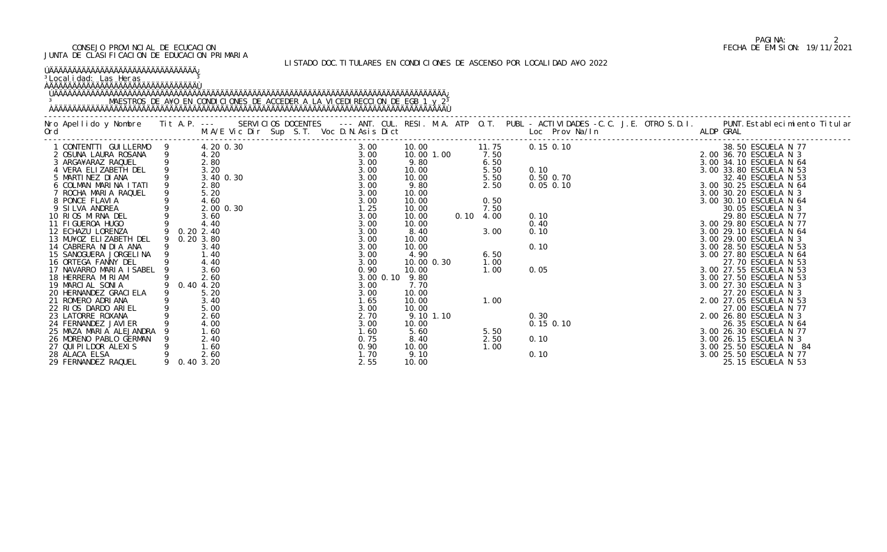### <sup>3</sup>Localidad: Las Heras <u>3</u> ÀÄÄÄÄÄÄÄÄÄÄÄÄÄÄÄÄÄÄÄÄÄÄÄÄÄÄÄÄÄÄÄÄÙ

### LISTADO DOC.TITULARES EN CONDICIONES DE ASCENSO POR LOCALIDAD A¥O 2022

# ÚÄÄÄÄÄÄÄÄÄÄÄÄÄÄÄÄÄÄÄÄÄÄÄÄÄÄÄÄÄÄÄÄ¿

# ÚÄÄÄÄÄÄÄÄÄÄÄÄÄÄÄÄÄÄÄÄÄÄÄÄÄÄÄÄÄÄÄÄÄÄÄÄÄÄÄÄÄÄÄÄÄÄÄÄÄÄÄÄÄÄÄÄÄÄÄÄÄÄÄÄÄÄÄÄÄÄÄÄÄÄÄÄÄÄÄÄÄÄÄÄÄ¿ 3 MAESTROS DE A¥O EN CONDICIONES DE ACCEDER A LA VICEDIRECCION DE EGB 1 y 2<sup>3</sup> ÀÄÄÄÄÄÄÄÄÄÄÄÄÄÄÄÄÄÄÄÄÄÄÄÄÄÄÄÄÄÄÄÄÄÄÄÄÄÄÄÄÄÄÄÄÄÄÄÄÄÄÄÄÄÄÄÄÄÄÄÄÄÄÄÄÄÄÄÄÄÄÄÄÄÄÄÄÄÄÄÄÄÄÄÄÄÙ

|                         |                |             |                |  | - ACTIVIDADES<br>- ACTIVIDADES<br>- Loc. Prov. Na/l hives<br>- 0.15 0.10<br>- 3. 00 3.5 00 BSCUELA N 3<br>- 3. 00 3.3 and ESCUELA<br>- 3. 00 3.3 and ESCUELA<br>- 3. 00 3.3 and ESCUELA<br>- 3. 00 3.3 and ESCUELA<br>- 3. 00 3.3 and ESCUELA |  |
|-------------------------|----------------|-------------|----------------|--|-----------------------------------------------------------------------------------------------------------------------------------------------------------------------------------------------------------------------------------------------|--|
| CONTENTTI GUILLERMO 9   |                | 4.20 0.30   | 3.00           |  |                                                                                                                                                                                                                                               |  |
| 2 OSUNA LAURA ROSANA    | $\overline{9}$ |             | 3.00           |  |                                                                                                                                                                                                                                               |  |
| 3 ARGA¥ARAZ RAQUEL      | 9              |             | 3.00           |  |                                                                                                                                                                                                                                               |  |
| 4 VERA ELIZABETH DEL    |                |             | 3.00           |  |                                                                                                                                                                                                                                               |  |
| 5 MARTINEZ DIANA        |                |             | 3.00           |  |                                                                                                                                                                                                                                               |  |
| 6 COLMAN MARINA ITATI   |                |             | 3.00           |  |                                                                                                                                                                                                                                               |  |
| 7 ROCHA MARIA RAQUEL    | 9              |             | 3.00           |  |                                                                                                                                                                                                                                               |  |
| 8 PONCE FLAVIA          |                |             | 3.00           |  |                                                                                                                                                                                                                                               |  |
| 9 SILVA ANDREA          |                | 2.00 0.30   | 1.25           |  |                                                                                                                                                                                                                                               |  |
| 10 RIOS MIRNA DEL       |                |             | 3.00           |  |                                                                                                                                                                                                                                               |  |
| 11 FIGUEROA HUGO        |                |             | 3.00           |  |                                                                                                                                                                                                                                               |  |
| 12 ECHAZU LORENZA       |                | 0.20 2.40   | 3.00           |  |                                                                                                                                                                                                                                               |  |
| 13 MU¥OZ ELIZABETH DEL  |                | 9 0.20 3.80 | 3.00           |  |                                                                                                                                                                                                                                               |  |
| 14 CABRERA NIDIA ANA    |                |             | 3.00           |  |                                                                                                                                                                                                                                               |  |
| 15 SANOGUERA JORGELINA  |                | 1.40        | 3.00           |  |                                                                                                                                                                                                                                               |  |
| 16 ORTEGA FANNY DEL     |                | 4.40        | 3.00           |  |                                                                                                                                                                                                                                               |  |
| 17 NAVARRO MARIA ISABEL | 9              |             | 0.90           |  |                                                                                                                                                                                                                                               |  |
| 18 HERRERA MIRIAM       |                |             | $3.00 \, 0.10$ |  |                                                                                                                                                                                                                                               |  |
| 19 MARCIAL SONIA        |                | 9 0.40 4.20 | 3.00           |  |                                                                                                                                                                                                                                               |  |
| 20 HERNANDEZ GRACI ELA  |                |             | 3.00           |  |                                                                                                                                                                                                                                               |  |
| 21 ROMERO ADRIANA       |                |             | 1.65           |  |                                                                                                                                                                                                                                               |  |
| 22 RIOS DARDO ARIEL     |                |             | 3.00           |  |                                                                                                                                                                                                                                               |  |
| 23 LATORRE ROXANA       |                | 2.60        | 2.70           |  |                                                                                                                                                                                                                                               |  |
| 24 FERNANDEZ JAVI ER    |                | 4.00        | 3.00           |  |                                                                                                                                                                                                                                               |  |
| 25 MAZA MARIA ALEJANDRA |                |             | 1.60           |  |                                                                                                                                                                                                                                               |  |
| 26 MORENO PABLO GERMAN  |                |             | 0.75           |  |                                                                                                                                                                                                                                               |  |
| 27 QUI PI LDOR ALEXI S  | 9              | 1.60        | 0.90           |  |                                                                                                                                                                                                                                               |  |
| 28 ALACA ELSA           |                |             | 1.70           |  |                                                                                                                                                                                                                                               |  |
| 29 FERNANDEZ RAQUEL     |                | 9 0.40 3.20 | 2.55           |  |                                                                                                                                                                                                                                               |  |

# PAGINA: 2<br>FECHA DE EMISION: 19/11/2021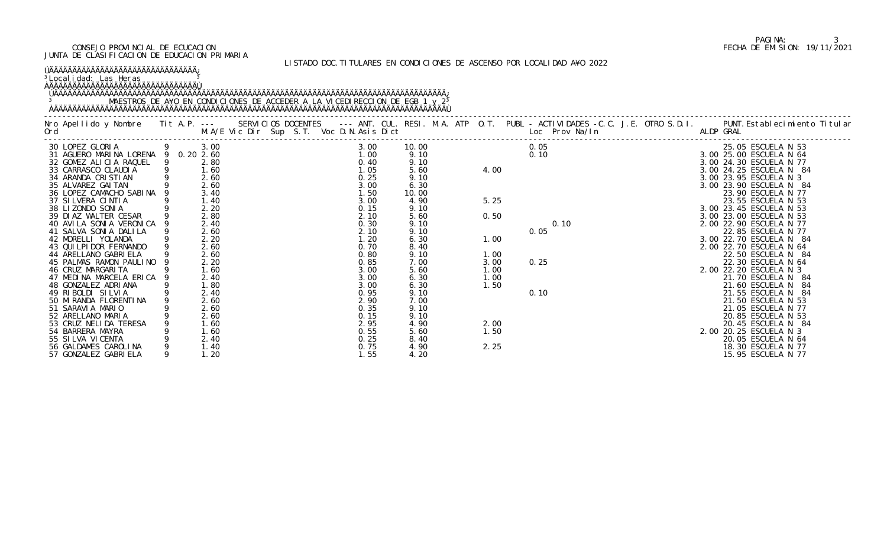# PAGINA: 3<br>FECHA DE EMISION: 19/11/2021

| JUNIA DE CEAJITICACIUN DE EDUCACIUN FINIMANIA                                                                                                                                                                          |   |              |  |  |  |              |              |  |              |  | LISTADO DOC. TITULARES EN CONDICIONES DE ASCENSO POR LOCALIDAD A¥O 2022 |                                                   |
|------------------------------------------------------------------------------------------------------------------------------------------------------------------------------------------------------------------------|---|--------------|--|--|--|--------------|--------------|--|--------------|--|-------------------------------------------------------------------------|---------------------------------------------------|
| <u>ÚÄÄÄÄÄÄÄÄÄÄÄÄÄÄÄÄÄÄÄÄÄÄÄÄÄÄÄÄÄÄÄÄÄ</u><br><sup>3</sup> Local i dad: Las Heras<br><b>OAAAAAAAAAAAAAAAAAAAAAAAAAAAAAAAA</b><br>MAESTROS DE A¥O EN CONDICIONES DE ACCEDER A LA VICEDIRECCION DE EGB 1 y 2 <sup>3</sup> |   |              |  |  |  |              |              |  |              |  |                                                                         |                                                   |
|                                                                                                                                                                                                                        |   |              |  |  |  |              |              |  |              |  |                                                                         |                                                   |
| 30 LOPEZ GLORIA 9 3.00                                                                                                                                                                                                 |   |              |  |  |  | 3.00         | 10.00        |  |              |  | 0.05                                                                    | 25.05 ESCUELA N 53                                |
| 31 AGUERO MARINA LORENA 9 0.20 2.60                                                                                                                                                                                    |   |              |  |  |  | 1.00         | 9.10         |  |              |  | 0.10                                                                    | 3.00 25.00 ESCUELA N 64                           |
| 32 GOMEZ ALICIA RAQUEL                                                                                                                                                                                                 | 9 | 2.80         |  |  |  | 0.40         | 9.10         |  |              |  |                                                                         | 3.00 24.30 ESCUELA N 77                           |
| 33 CARRASCO CLAUDIA                                                                                                                                                                                                    |   | 1.60<br>2.60 |  |  |  | 1.05         | 5.60         |  | 4.00         |  |                                                                         | 3.00 24.25 ESCUELA N 84                           |
| 34 ARANDA CRISTIAN<br>35 ALVAREZ GAITAN                                                                                                                                                                                |   | 2.60         |  |  |  | 0.25<br>3.00 | 9.10<br>6.30 |  |              |  |                                                                         | 3.00 23.95 ESCUELA N 3<br>3.00 23.90 ESCUELA N 84 |
| 36 LOPEZ CAMACHO SABINA                                                                                                                                                                                                |   | 3.40         |  |  |  | 1.50         | 10.00        |  |              |  |                                                                         | 23.90 ESCUELA N 77                                |
| 37 SILVERA CINTIA                                                                                                                                                                                                      |   | 1.40         |  |  |  | 3.00         | 4.90         |  | 5.25         |  |                                                                         | 23.55 ESCUELA N 53                                |
| 38 LIZONDO SONIA                                                                                                                                                                                                       |   | 2.20         |  |  |  | 0.15         | 9.10         |  |              |  |                                                                         | 3.00 23.45 ESCUELA N 53                           |
| 39 DIAZ WALTER CESAR                                                                                                                                                                                                   |   | 2.80         |  |  |  | 2.10         | 5.60         |  | 0.50         |  |                                                                         | 3.00 23.00 ESCUELA N 53                           |
| 40 AVILA SONIA VERONICA                                                                                                                                                                                                |   | 2.40         |  |  |  | 0.30         | 9.10         |  |              |  | 0.10                                                                    | 2.00 22.90 ESCUELA N 77                           |
| 41 SALVA SONIA DALILA                                                                                                                                                                                                  |   | 2.60         |  |  |  | 2.10         | 9.10         |  |              |  | 0.05                                                                    | 22.85 ESCUELA N 77                                |
| 42 MORELLI YOLANDA                                                                                                                                                                                                     |   | 2.20         |  |  |  | 1.20         | 6.30         |  | 1.00         |  |                                                                         | 3.00 22.70 ESCUELA N 84                           |
| 43 QUI LPI DOR FERNANDO                                                                                                                                                                                                |   | 2.60         |  |  |  | 0.70         | 8.40         |  |              |  |                                                                         | 2.00 22.70 ESCUELA N 64                           |
| 44 ARELLANO GABRI ELA                                                                                                                                                                                                  |   | 2.60         |  |  |  | 0.80         | 9.10         |  | 1.00         |  |                                                                         | 22.50 ESCUELA N 84                                |
| 45 PALMAS RAMON PAULINO                                                                                                                                                                                                |   | 2.20         |  |  |  | 0.85         | 7.00         |  | 3.00         |  | 0.25                                                                    | 22.30 ESCUELA N 64                                |
| 46 CRUZ MARGARI TA                                                                                                                                                                                                     |   | 1.60         |  |  |  | 3.00         | 5.60         |  | 1.00         |  |                                                                         | 2.00 22.20 ESCUELA N 3                            |
| 47 MEDINA MARCELA ERICA                                                                                                                                                                                                |   | 2.40         |  |  |  | 3.00         | 6.30         |  | 1.00         |  |                                                                         | 21.70 ESCUELA N 84                                |
| 48 GONZALEZ ADRIANA                                                                                                                                                                                                    |   | 1.80         |  |  |  | 3.00         | 6.30         |  | 1.50         |  |                                                                         | 21.60 ESCUELA N 84                                |
| 49 RIBOLDI SILVIA                                                                                                                                                                                                      |   | 2.40         |  |  |  | 0.95         | 9.10         |  |              |  | 0.10                                                                    | 21.55 ESCUELA N                                   |
| 50 MI RANDA FLORENTI NA                                                                                                                                                                                                |   | 2.60         |  |  |  | 2.90         | 7.00         |  |              |  |                                                                         | 21.50 ESCUELA N 53                                |
| 51 SARAVIA MARIO<br>52 ARELLANO MARIA                                                                                                                                                                                  |   | 2.60         |  |  |  | 0.35         | 9.10         |  |              |  |                                                                         | 21.05 ESCUELA N 77                                |
| 53 CRUZ NELIDA TERESA                                                                                                                                                                                                  |   | 2.60<br>1.60 |  |  |  | 0.15<br>2.95 | 9.10<br>4.90 |  |              |  |                                                                         | 20.85 ESCUELA N 53<br>20.45 ESCUELA N 84          |
| 54 BARRERA MAYRA                                                                                                                                                                                                       |   | 1.60         |  |  |  |              | 5.60         |  | 2.00<br>1.50 |  |                                                                         | 2.00 20.25 ESCUELA N 3                            |
| 55 SI LVA VI CENTA                                                                                                                                                                                                     |   | 2.40         |  |  |  | 0.55<br>0.25 | 8.40         |  |              |  |                                                                         | 20.05 ESCUELA N 64                                |
| 56 GALDAMES CAROLINA                                                                                                                                                                                                   |   | 1.40         |  |  |  | 0.75         | 4.90         |  | 2.25         |  |                                                                         | 18.30 ESCUELA N 77                                |
| 57 GONZALEZ GABRIELA                                                                                                                                                                                                   |   | 1.20         |  |  |  | 1.55         | 4.20         |  |              |  |                                                                         | 15.95 ESCUELA N 77                                |
|                                                                                                                                                                                                                        |   |              |  |  |  |              |              |  |              |  |                                                                         |                                                   |